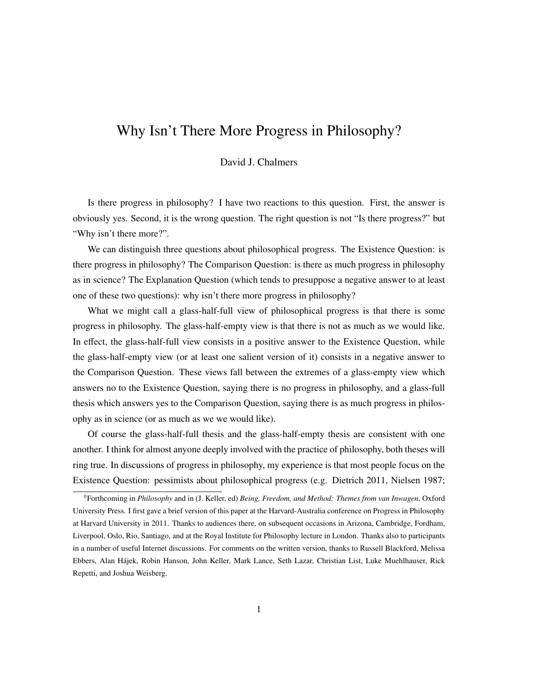# Why Isn't There More Progress in Philosophy?

#### David J. Chalmers

Is there progress in philosophy? I have two reactions to this question. First, the answer is obviously yes. Second, it is the wrong question. The right question is not "Is there progress?" but "Why isn't there more?".

We can distinguish three questions about philosophical progress. The Existence Question: is there progress in philosophy? The Comparison Question: is there as much progress in philosophy as in science? The Explanation Question (which tends to presuppose a negative answer to at least one of these two questions): why isn't there more progress in philosophy?

What we might call a glass-half-full view of philosophical progress is that there is some progress in philosophy. The glass-half-empty view is that there is not as much as we would like. In effect, the glass-half-full view consists in a positive answer to the Existence Question, while the glass-half-empty view (or at least one salient version of it) consists in a negative answer to the Comparison Question. These views fall between the extremes of a glass-empty view which answers no to the Existence Question, saying there is no progress in philosophy, and a glass-full thesis which answers yes to the Comparison Question, saying there is as much progress in philosophy as in science (or as much as we we would like).

Of course the glass-half-full thesis and the glass-half-empty thesis are consistent with one another. I think for almost anyone deeply involved with the practice of philosophy, both theses will ring true. In discussions of progress in philosophy, my experience is that most people focus on the Existence Question: pessimists about philosophical progress (e.g. Dietrich 2011, Nielsen 1987;

<sup>0</sup>Forthcoming in *Philosophy* and in (J. Keller, ed) *Being, Freedom, and Method: Themes from van Inwagen*, Oxford University Press. I first gave a brief version of this paper at the Harvard-Australia conference on Progress in Philosophy at Harvard University in 2011. Thanks to audiences there, on subsequent occasions in Arizona, Cambridge, Fordham, Liverpool, Oslo, Rio, Santiago, and at the Royal Institute for Philosophy lecture in London. Thanks also to participants in a number of useful Internet discussions. For comments on the written version, thanks to Russell Blackford, Melissa Ebbers, Alan Hajek, Robin Hanson, John Keller, Mark Lance, Seth Lazar, Christian List, Luke Muehlhauser, Rick ´ Repetti, and Joshua Weisberg.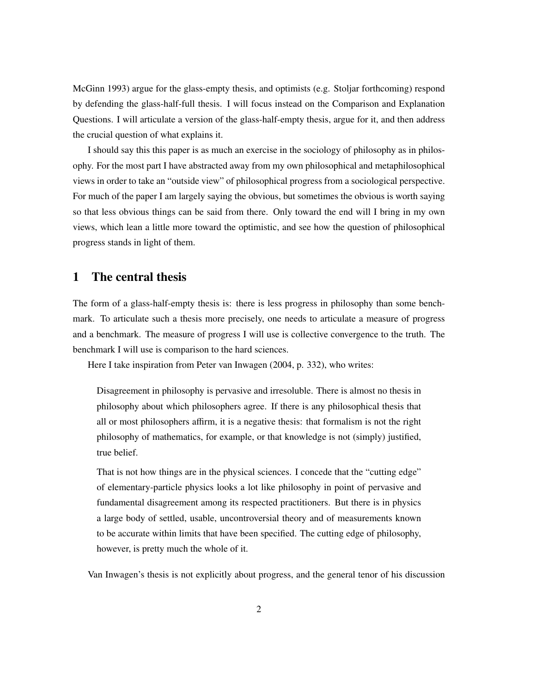McGinn 1993) argue for the glass-empty thesis, and optimists (e.g. Stoljar forthcoming) respond by defending the glass-half-full thesis. I will focus instead on the Comparison and Explanation Questions. I will articulate a version of the glass-half-empty thesis, argue for it, and then address the crucial question of what explains it.

I should say this this paper is as much an exercise in the sociology of philosophy as in philosophy. For the most part I have abstracted away from my own philosophical and metaphilosophical views in order to take an "outside view" of philosophical progress from a sociological perspective. For much of the paper I am largely saying the obvious, but sometimes the obvious is worth saying so that less obvious things can be said from there. Only toward the end will I bring in my own views, which lean a little more toward the optimistic, and see how the question of philosophical progress stands in light of them.

### 1 The central thesis

The form of a glass-half-empty thesis is: there is less progress in philosophy than some benchmark. To articulate such a thesis more precisely, one needs to articulate a measure of progress and a benchmark. The measure of progress I will use is collective convergence to the truth. The benchmark I will use is comparison to the hard sciences.

Here I take inspiration from Peter van Inwagen (2004, p. 332), who writes:

Disagreement in philosophy is pervasive and irresoluble. There is almost no thesis in philosophy about which philosophers agree. If there is any philosophical thesis that all or most philosophers affirm, it is a negative thesis: that formalism is not the right philosophy of mathematics, for example, or that knowledge is not (simply) justified, true belief.

That is not how things are in the physical sciences. I concede that the "cutting edge" of elementary-particle physics looks a lot like philosophy in point of pervasive and fundamental disagreement among its respected practitioners. But there is in physics a large body of settled, usable, uncontroversial theory and of measurements known to be accurate within limits that have been specified. The cutting edge of philosophy, however, is pretty much the whole of it.

Van Inwagen's thesis is not explicitly about progress, and the general tenor of his discussion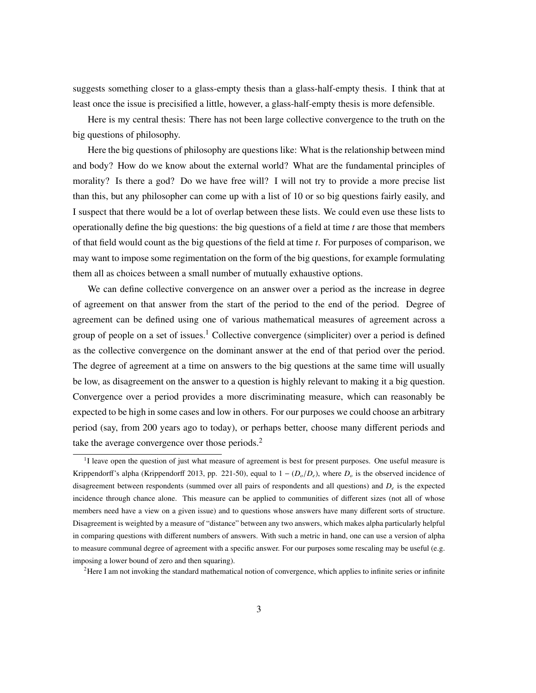suggests something closer to a glass-empty thesis than a glass-half-empty thesis. I think that at least once the issue is precisified a little, however, a glass-half-empty thesis is more defensible.

Here is my central thesis: There has not been large collective convergence to the truth on the big questions of philosophy.

Here the big questions of philosophy are questions like: What is the relationship between mind and body? How do we know about the external world? What are the fundamental principles of morality? Is there a god? Do we have free will? I will not try to provide a more precise list than this, but any philosopher can come up with a list of 10 or so big questions fairly easily, and I suspect that there would be a lot of overlap between these lists. We could even use these lists to operationally define the big questions: the big questions of a field at time *t* are those that members of that field would count as the big questions of the field at time *t*. For purposes of comparison, we may want to impose some regimentation on the form of the big questions, for example formulating them all as choices between a small number of mutually exhaustive options.

We can define collective convergence on an answer over a period as the increase in degree of agreement on that answer from the start of the period to the end of the period. Degree of agreement can be defined using one of various mathematical measures of agreement across a group of people on a set of issues.<sup>1</sup> Collective convergence (simpliciter) over a period is defined as the collective convergence on the dominant answer at the end of that period over the period. The degree of agreement at a time on answers to the big questions at the same time will usually be low, as disagreement on the answer to a question is highly relevant to making it a big question. Convergence over a period provides a more discriminating measure, which can reasonably be expected to be high in some cases and low in others. For our purposes we could choose an arbitrary period (say, from 200 years ago to today), or perhaps better, choose many different periods and take the average convergence over those periods. $<sup>2</sup>$ </sup>

<sup>2</sup>Here I am not invoking the standard mathematical notion of convergence, which applies to infinite series or infinite

<sup>&</sup>lt;sup>1</sup>I leave open the question of just what measure of agreement is best for present purposes. One useful measure is Krippendorff's alpha (Krippendorff 2013, pp. 221-50), equal to  $1 - (D_0/D_e)$ , where  $D_0$  is the observed incidence of disagreement between respondents (summed over all pairs of respondents and all questions) and *D<sup>e</sup>* is the expected incidence through chance alone. This measure can be applied to communities of different sizes (not all of whose members need have a view on a given issue) and to questions whose answers have many different sorts of structure. Disagreement is weighted by a measure of "distance" between any two answers, which makes alpha particularly helpful in comparing questions with different numbers of answers. With such a metric in hand, one can use a version of alpha to measure communal degree of agreement with a specific answer. For our purposes some rescaling may be useful (e.g. imposing a lower bound of zero and then squaring).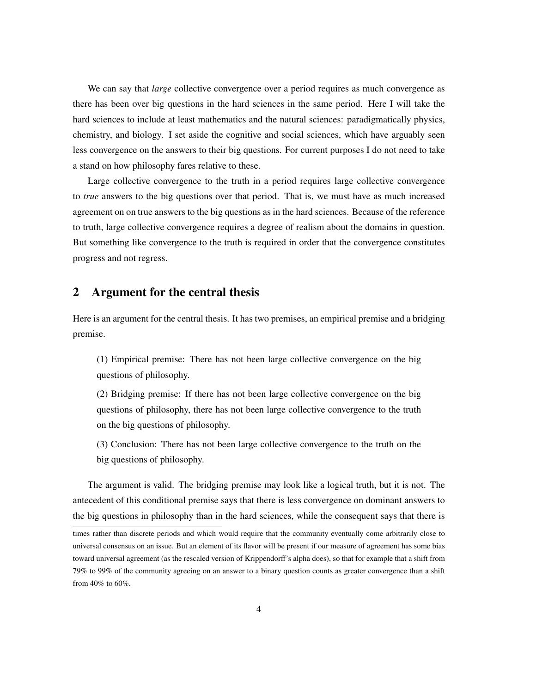We can say that *large* collective convergence over a period requires as much convergence as there has been over big questions in the hard sciences in the same period. Here I will take the hard sciences to include at least mathematics and the natural sciences: paradigmatically physics, chemistry, and biology. I set aside the cognitive and social sciences, which have arguably seen less convergence on the answers to their big questions. For current purposes I do not need to take a stand on how philosophy fares relative to these.

Large collective convergence to the truth in a period requires large collective convergence to *true* answers to the big questions over that period. That is, we must have as much increased agreement on on true answers to the big questions as in the hard sciences. Because of the reference to truth, large collective convergence requires a degree of realism about the domains in question. But something like convergence to the truth is required in order that the convergence constitutes progress and not regress.

## 2 Argument for the central thesis

Here is an argument for the central thesis. It has two premises, an empirical premise and a bridging premise.

(1) Empirical premise: There has not been large collective convergence on the big questions of philosophy.

(2) Bridging premise: If there has not been large collective convergence on the big questions of philosophy, there has not been large collective convergence to the truth on the big questions of philosophy.

(3) Conclusion: There has not been large collective convergence to the truth on the big questions of philosophy.

The argument is valid. The bridging premise may look like a logical truth, but it is not. The antecedent of this conditional premise says that there is less convergence on dominant answers to the big questions in philosophy than in the hard sciences, while the consequent says that there is

times rather than discrete periods and which would require that the community eventually come arbitrarily close to universal consensus on an issue. But an element of its flavor will be present if our measure of agreement has some bias toward universal agreement (as the rescaled version of Krippendorff's alpha does), so that for example that a shift from 79% to 99% of the community agreeing on an answer to a binary question counts as greater convergence than a shift from 40% to 60%.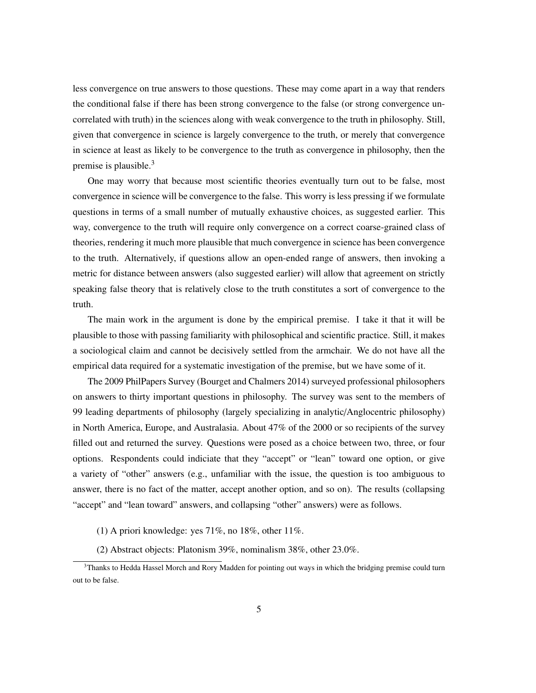less convergence on true answers to those questions. These may come apart in a way that renders the conditional false if there has been strong convergence to the false (or strong convergence uncorrelated with truth) in the sciences along with weak convergence to the truth in philosophy. Still, given that convergence in science is largely convergence to the truth, or merely that convergence in science at least as likely to be convergence to the truth as convergence in philosophy, then the premise is plausible. $3$ 

One may worry that because most scientific theories eventually turn out to be false, most convergence in science will be convergence to the false. This worry is less pressing if we formulate questions in terms of a small number of mutually exhaustive choices, as suggested earlier. This way, convergence to the truth will require only convergence on a correct coarse-grained class of theories, rendering it much more plausible that much convergence in science has been convergence to the truth. Alternatively, if questions allow an open-ended range of answers, then invoking a metric for distance between answers (also suggested earlier) will allow that agreement on strictly speaking false theory that is relatively close to the truth constitutes a sort of convergence to the truth.

The main work in the argument is done by the empirical premise. I take it that it will be plausible to those with passing familiarity with philosophical and scientific practice. Still, it makes a sociological claim and cannot be decisively settled from the armchair. We do not have all the empirical data required for a systematic investigation of the premise, but we have some of it.

The 2009 PhilPapers Survey (Bourget and Chalmers 2014) surveyed professional philosophers on answers to thirty important questions in philosophy. The survey was sent to the members of 99 leading departments of philosophy (largely specializing in analytic/Anglocentric philosophy) in North America, Europe, and Australasia. About 47% of the 2000 or so recipients of the survey filled out and returned the survey. Questions were posed as a choice between two, three, or four options. Respondents could indiciate that they "accept" or "lean" toward one option, or give a variety of "other" answers (e.g., unfamiliar with the issue, the question is too ambiguous to answer, there is no fact of the matter, accept another option, and so on). The results (collapsing "accept" and "lean toward" answers, and collapsing "other" answers) were as follows.

- (1) A priori knowledge: yes  $71\%$ , no  $18\%$ , other  $11\%$ .
- (2) Abstract objects: Platonism 39%, nominalism 38%, other 23.0%.

<sup>&</sup>lt;sup>3</sup>Thanks to Hedda Hassel Morch and Rory Madden for pointing out ways in which the bridging premise could turn out to be false.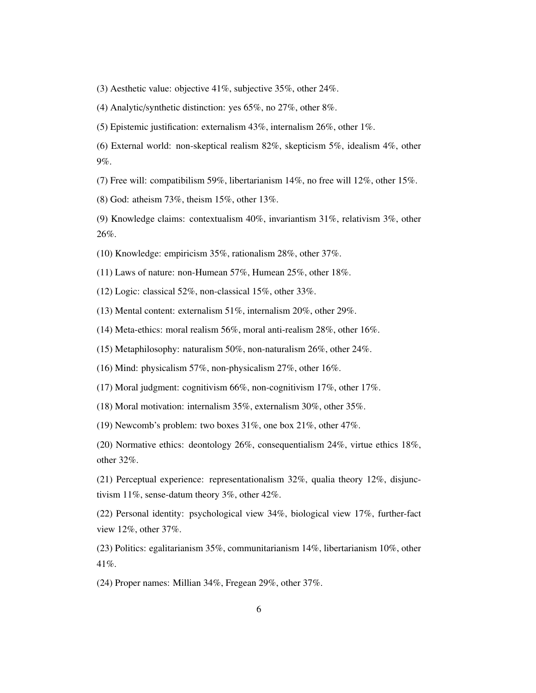(3) Aesthetic value: objective 41%, subjective 35%, other 24%.

(4) Analytic/synthetic distinction: yes 65%, no 27%, other 8%.

(5) Epistemic justification: externalism 43%, internalism 26%, other 1%.

(6) External world: non-skeptical realism 82%, skepticism 5%, idealism 4%, other 9%.

(7) Free will: compatibilism 59%, libertarianism 14%, no free will 12%, other 15%.

(8) God: atheism 73%, theism 15%, other 13%.

(9) Knowledge claims: contextualism 40%, invariantism 31%, relativism 3%, other 26%.

(10) Knowledge: empiricism 35%, rationalism 28%, other 37%.

(11) Laws of nature: non-Humean 57%, Humean 25%, other 18%.

(12) Logic: classical 52%, non-classical 15%, other 33%.

(13) Mental content: externalism 51%, internalism 20%, other 29%.

(14) Meta-ethics: moral realism 56%, moral anti-realism 28%, other 16%.

(15) Metaphilosophy: naturalism 50%, non-naturalism 26%, other 24%.

(16) Mind: physicalism 57%, non-physicalism 27%, other 16%.

(17) Moral judgment: cognitivism 66%, non-cognitivism 17%, other 17%.

(18) Moral motivation: internalism 35%, externalism 30%, other 35%.

(19) Newcomb's problem: two boxes 31%, one box 21%, other 47%.

(20) Normative ethics: deontology 26%, consequentialism 24%, virtue ethics 18%, other 32%.

(21) Perceptual experience: representationalism 32%, qualia theory 12%, disjunctivism 11%, sense-datum theory 3%, other 42%.

(22) Personal identity: psychological view 34%, biological view 17%, further-fact view 12%, other 37%.

(23) Politics: egalitarianism 35%, communitarianism 14%, libertarianism 10%, other 41%.

(24) Proper names: Millian 34%, Fregean 29%, other 37%.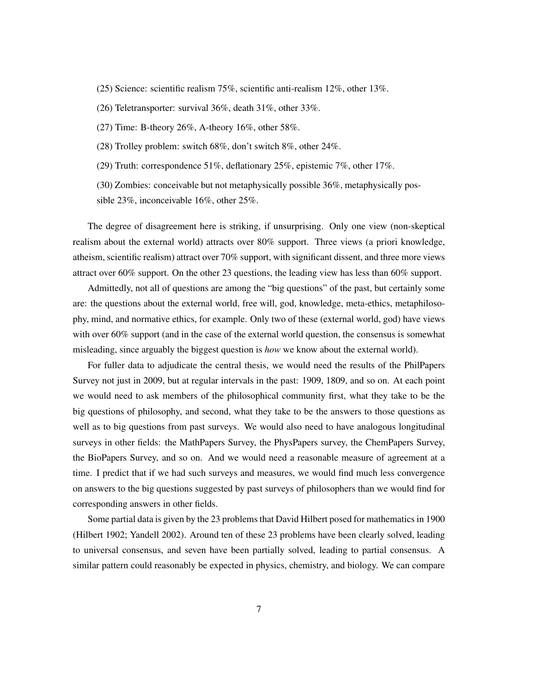(25) Science: scientific realism 75%, scientific anti-realism 12%, other 13%.

(26) Teletransporter: survival 36%, death 31%, other 33%.

(27) Time: B-theory 26%, A-theory 16%, other 58%.

(28) Trolley problem: switch 68%, don't switch 8%, other 24%.

(29) Truth: correspondence 51%, deflationary 25%, epistemic 7%, other 17%.

(30) Zombies: conceivable but not metaphysically possible 36%, metaphysically possible 23%, inconceivable 16%, other 25%.

The degree of disagreement here is striking, if unsurprising. Only one view (non-skeptical realism about the external world) attracts over 80% support. Three views (a priori knowledge, atheism, scientific realism) attract over 70% support, with significant dissent, and three more views attract over 60% support. On the other 23 questions, the leading view has less than 60% support.

Admittedly, not all of questions are among the "big questions" of the past, but certainly some are: the questions about the external world, free will, god, knowledge, meta-ethics, metaphilosophy, mind, and normative ethics, for example. Only two of these (external world, god) have views with over 60% support (and in the case of the external world question, the consensus is somewhat misleading, since arguably the biggest question is *how* we know about the external world).

For fuller data to adjudicate the central thesis, we would need the results of the PhilPapers Survey not just in 2009, but at regular intervals in the past: 1909, 1809, and so on. At each point we would need to ask members of the philosophical community first, what they take to be the big questions of philosophy, and second, what they take to be the answers to those questions as well as to big questions from past surveys. We would also need to have analogous longitudinal surveys in other fields: the MathPapers Survey, the PhysPapers survey, the ChemPapers Survey, the BioPapers Survey, and so on. And we would need a reasonable measure of agreement at a time. I predict that if we had such surveys and measures, we would find much less convergence on answers to the big questions suggested by past surveys of philosophers than we would find for corresponding answers in other fields.

Some partial data is given by the 23 problems that David Hilbert posed for mathematics in 1900 (Hilbert 1902; Yandell 2002). Around ten of these 23 problems have been clearly solved, leading to universal consensus, and seven have been partially solved, leading to partial consensus. A similar pattern could reasonably be expected in physics, chemistry, and biology. We can compare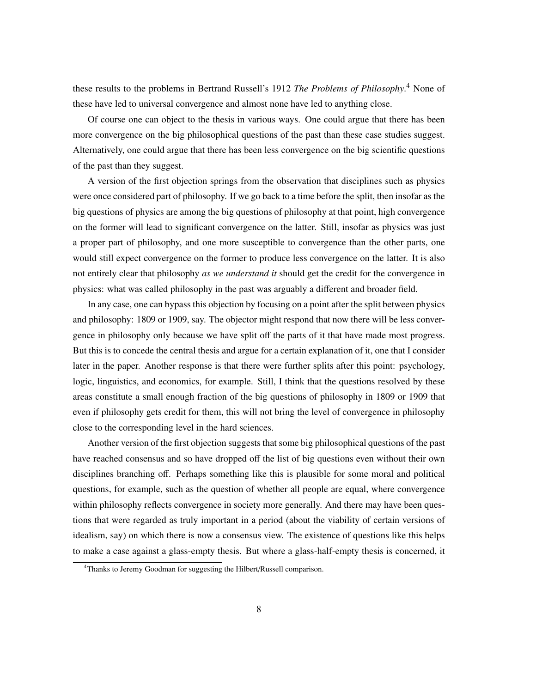these results to the problems in Bertrand Russell's 1912 *The Problems of Philosophy*. <sup>4</sup> None of these have led to universal convergence and almost none have led to anything close.

Of course one can object to the thesis in various ways. One could argue that there has been more convergence on the big philosophical questions of the past than these case studies suggest. Alternatively, one could argue that there has been less convergence on the big scientific questions of the past than they suggest.

A version of the first objection springs from the observation that disciplines such as physics were once considered part of philosophy. If we go back to a time before the split, then insofar as the big questions of physics are among the big questions of philosophy at that point, high convergence on the former will lead to significant convergence on the latter. Still, insofar as physics was just a proper part of philosophy, and one more susceptible to convergence than the other parts, one would still expect convergence on the former to produce less convergence on the latter. It is also not entirely clear that philosophy *as we understand it* should get the credit for the convergence in physics: what was called philosophy in the past was arguably a different and broader field.

In any case, one can bypass this objection by focusing on a point after the split between physics and philosophy: 1809 or 1909, say. The objector might respond that now there will be less convergence in philosophy only because we have split off the parts of it that have made most progress. But this is to concede the central thesis and argue for a certain explanation of it, one that I consider later in the paper. Another response is that there were further splits after this point: psychology, logic, linguistics, and economics, for example. Still, I think that the questions resolved by these areas constitute a small enough fraction of the big questions of philosophy in 1809 or 1909 that even if philosophy gets credit for them, this will not bring the level of convergence in philosophy close to the corresponding level in the hard sciences.

Another version of the first objection suggests that some big philosophical questions of the past have reached consensus and so have dropped off the list of big questions even without their own disciplines branching off. Perhaps something like this is plausible for some moral and political questions, for example, such as the question of whether all people are equal, where convergence within philosophy reflects convergence in society more generally. And there may have been questions that were regarded as truly important in a period (about the viability of certain versions of idealism, say) on which there is now a consensus view. The existence of questions like this helps to make a case against a glass-empty thesis. But where a glass-half-empty thesis is concerned, it

<sup>4</sup>Thanks to Jeremy Goodman for suggesting the Hilbert/Russell comparison.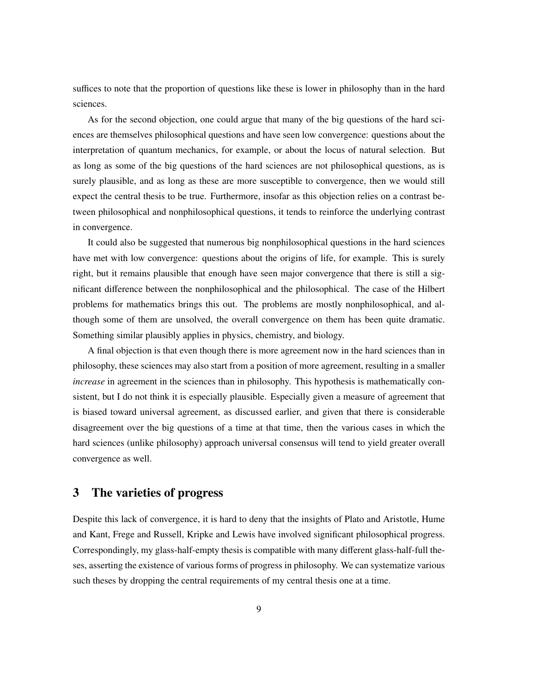suffices to note that the proportion of questions like these is lower in philosophy than in the hard sciences.

As for the second objection, one could argue that many of the big questions of the hard sciences are themselves philosophical questions and have seen low convergence: questions about the interpretation of quantum mechanics, for example, or about the locus of natural selection. But as long as some of the big questions of the hard sciences are not philosophical questions, as is surely plausible, and as long as these are more susceptible to convergence, then we would still expect the central thesis to be true. Furthermore, insofar as this objection relies on a contrast between philosophical and nonphilosophical questions, it tends to reinforce the underlying contrast in convergence.

It could also be suggested that numerous big nonphilosophical questions in the hard sciences have met with low convergence: questions about the origins of life, for example. This is surely right, but it remains plausible that enough have seen major convergence that there is still a significant difference between the nonphilosophical and the philosophical. The case of the Hilbert problems for mathematics brings this out. The problems are mostly nonphilosophical, and although some of them are unsolved, the overall convergence on them has been quite dramatic. Something similar plausibly applies in physics, chemistry, and biology.

A final objection is that even though there is more agreement now in the hard sciences than in philosophy, these sciences may also start from a position of more agreement, resulting in a smaller *increase* in agreement in the sciences than in philosophy. This hypothesis is mathematically consistent, but I do not think it is especially plausible. Especially given a measure of agreement that is biased toward universal agreement, as discussed earlier, and given that there is considerable disagreement over the big questions of a time at that time, then the various cases in which the hard sciences (unlike philosophy) approach universal consensus will tend to yield greater overall convergence as well.

## 3 The varieties of progress

Despite this lack of convergence, it is hard to deny that the insights of Plato and Aristotle, Hume and Kant, Frege and Russell, Kripke and Lewis have involved significant philosophical progress. Correspondingly, my glass-half-empty thesis is compatible with many different glass-half-full theses, asserting the existence of various forms of progress in philosophy. We can systematize various such theses by dropping the central requirements of my central thesis one at a time.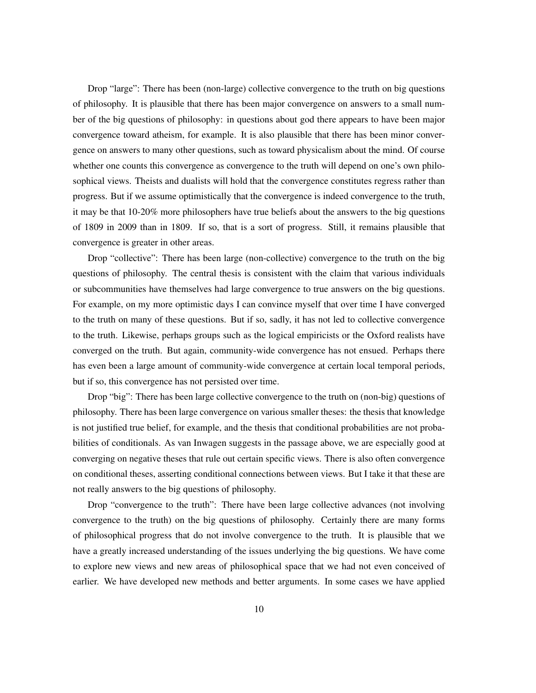Drop "large": There has been (non-large) collective convergence to the truth on big questions of philosophy. It is plausible that there has been major convergence on answers to a small number of the big questions of philosophy: in questions about god there appears to have been major convergence toward atheism, for example. It is also plausible that there has been minor convergence on answers to many other questions, such as toward physicalism about the mind. Of course whether one counts this convergence as convergence to the truth will depend on one's own philosophical views. Theists and dualists will hold that the convergence constitutes regress rather than progress. But if we assume optimistically that the convergence is indeed convergence to the truth, it may be that 10-20% more philosophers have true beliefs about the answers to the big questions of 1809 in 2009 than in 1809. If so, that is a sort of progress. Still, it remains plausible that convergence is greater in other areas.

Drop "collective": There has been large (non-collective) convergence to the truth on the big questions of philosophy. The central thesis is consistent with the claim that various individuals or subcommunities have themselves had large convergence to true answers on the big questions. For example, on my more optimistic days I can convince myself that over time I have converged to the truth on many of these questions. But if so, sadly, it has not led to collective convergence to the truth. Likewise, perhaps groups such as the logical empiricists or the Oxford realists have converged on the truth. But again, community-wide convergence has not ensued. Perhaps there has even been a large amount of community-wide convergence at certain local temporal periods, but if so, this convergence has not persisted over time.

Drop "big": There has been large collective convergence to the truth on (non-big) questions of philosophy. There has been large convergence on various smaller theses: the thesis that knowledge is not justified true belief, for example, and the thesis that conditional probabilities are not probabilities of conditionals. As van Inwagen suggests in the passage above, we are especially good at converging on negative theses that rule out certain specific views. There is also often convergence on conditional theses, asserting conditional connections between views. But I take it that these are not really answers to the big questions of philosophy.

Drop "convergence to the truth": There have been large collective advances (not involving convergence to the truth) on the big questions of philosophy. Certainly there are many forms of philosophical progress that do not involve convergence to the truth. It is plausible that we have a greatly increased understanding of the issues underlying the big questions. We have come to explore new views and new areas of philosophical space that we had not even conceived of earlier. We have developed new methods and better arguments. In some cases we have applied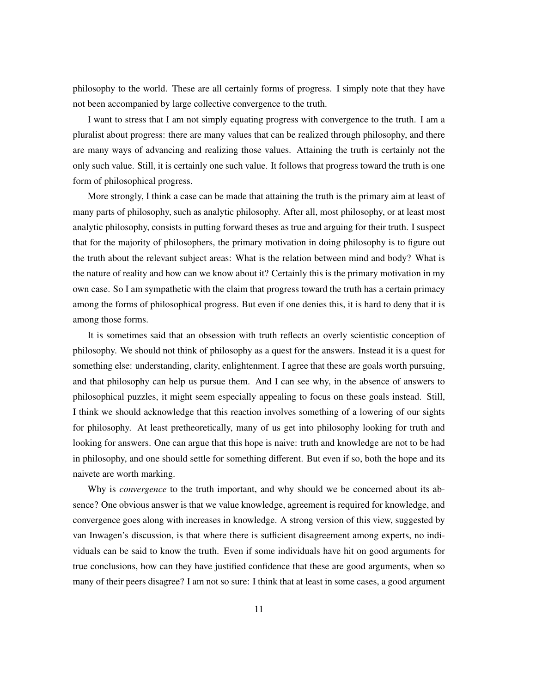philosophy to the world. These are all certainly forms of progress. I simply note that they have not been accompanied by large collective convergence to the truth.

I want to stress that I am not simply equating progress with convergence to the truth. I am a pluralist about progress: there are many values that can be realized through philosophy, and there are many ways of advancing and realizing those values. Attaining the truth is certainly not the only such value. Still, it is certainly one such value. It follows that progress toward the truth is one form of philosophical progress.

More strongly, I think a case can be made that attaining the truth is the primary aim at least of many parts of philosophy, such as analytic philosophy. After all, most philosophy, or at least most analytic philosophy, consists in putting forward theses as true and arguing for their truth. I suspect that for the majority of philosophers, the primary motivation in doing philosophy is to figure out the truth about the relevant subject areas: What is the relation between mind and body? What is the nature of reality and how can we know about it? Certainly this is the primary motivation in my own case. So I am sympathetic with the claim that progress toward the truth has a certain primacy among the forms of philosophical progress. But even if one denies this, it is hard to deny that it is among those forms.

It is sometimes said that an obsession with truth reflects an overly scientistic conception of philosophy. We should not think of philosophy as a quest for the answers. Instead it is a quest for something else: understanding, clarity, enlightenment. I agree that these are goals worth pursuing, and that philosophy can help us pursue them. And I can see why, in the absence of answers to philosophical puzzles, it might seem especially appealing to focus on these goals instead. Still, I think we should acknowledge that this reaction involves something of a lowering of our sights for philosophy. At least pretheoretically, many of us get into philosophy looking for truth and looking for answers. One can argue that this hope is naive: truth and knowledge are not to be had in philosophy, and one should settle for something different. But even if so, both the hope and its naivete are worth marking.

Why is *convergence* to the truth important, and why should we be concerned about its absence? One obvious answer is that we value knowledge, agreement is required for knowledge, and convergence goes along with increases in knowledge. A strong version of this view, suggested by van Inwagen's discussion, is that where there is sufficient disagreement among experts, no individuals can be said to know the truth. Even if some individuals have hit on good arguments for true conclusions, how can they have justified confidence that these are good arguments, when so many of their peers disagree? I am not so sure: I think that at least in some cases, a good argument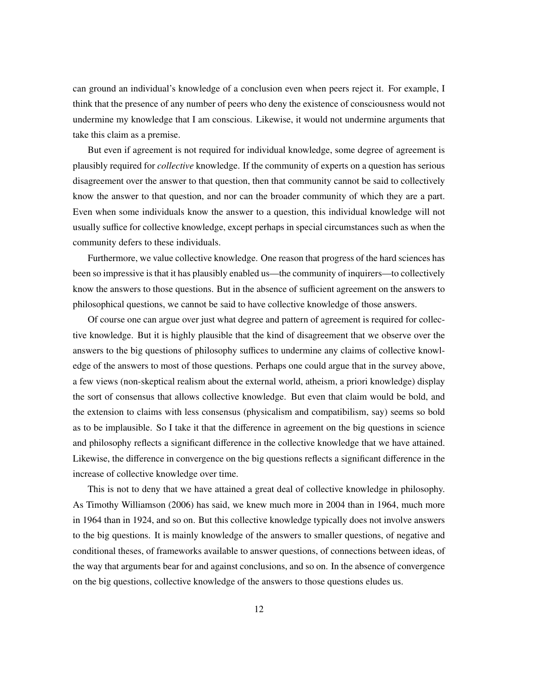can ground an individual's knowledge of a conclusion even when peers reject it. For example, I think that the presence of any number of peers who deny the existence of consciousness would not undermine my knowledge that I am conscious. Likewise, it would not undermine arguments that take this claim as a premise.

But even if agreement is not required for individual knowledge, some degree of agreement is plausibly required for *collective* knowledge. If the community of experts on a question has serious disagreement over the answer to that question, then that community cannot be said to collectively know the answer to that question, and nor can the broader community of which they are a part. Even when some individuals know the answer to a question, this individual knowledge will not usually suffice for collective knowledge, except perhaps in special circumstances such as when the community defers to these individuals.

Furthermore, we value collective knowledge. One reason that progress of the hard sciences has been so impressive is that it has plausibly enabled us—the community of inquirers—to collectively know the answers to those questions. But in the absence of sufficient agreement on the answers to philosophical questions, we cannot be said to have collective knowledge of those answers.

Of course one can argue over just what degree and pattern of agreement is required for collective knowledge. But it is highly plausible that the kind of disagreement that we observe over the answers to the big questions of philosophy suffices to undermine any claims of collective knowledge of the answers to most of those questions. Perhaps one could argue that in the survey above, a few views (non-skeptical realism about the external world, atheism, a priori knowledge) display the sort of consensus that allows collective knowledge. But even that claim would be bold, and the extension to claims with less consensus (physicalism and compatibilism, say) seems so bold as to be implausible. So I take it that the difference in agreement on the big questions in science and philosophy reflects a significant difference in the collective knowledge that we have attained. Likewise, the difference in convergence on the big questions reflects a significant difference in the increase of collective knowledge over time.

This is not to deny that we have attained a great deal of collective knowledge in philosophy. As Timothy Williamson (2006) has said, we knew much more in 2004 than in 1964, much more in 1964 than in 1924, and so on. But this collective knowledge typically does not involve answers to the big questions. It is mainly knowledge of the answers to smaller questions, of negative and conditional theses, of frameworks available to answer questions, of connections between ideas, of the way that arguments bear for and against conclusions, and so on. In the absence of convergence on the big questions, collective knowledge of the answers to those questions eludes us.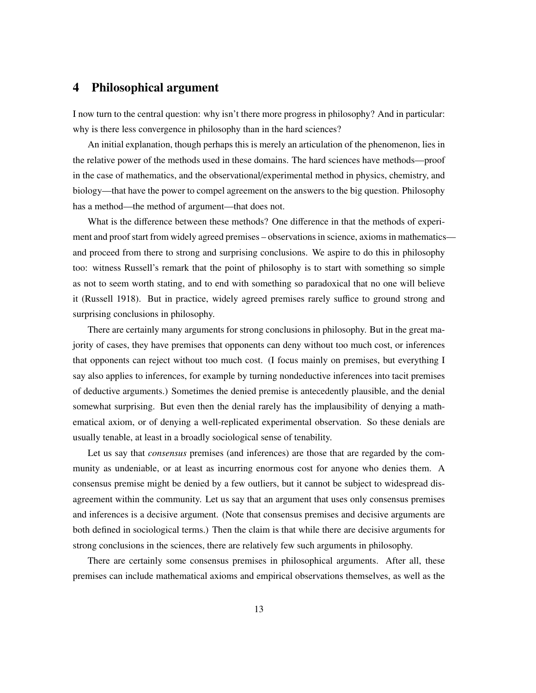### 4 Philosophical argument

I now turn to the central question: why isn't there more progress in philosophy? And in particular: why is there less convergence in philosophy than in the hard sciences?

An initial explanation, though perhaps this is merely an articulation of the phenomenon, lies in the relative power of the methods used in these domains. The hard sciences have methods—proof in the case of mathematics, and the observational/experimental method in physics, chemistry, and biology—that have the power to compel agreement on the answers to the big question. Philosophy has a method—the method of argument—that does not.

What is the difference between these methods? One difference in that the methods of experiment and proof start from widely agreed premises – observations in science, axioms in mathematics and proceed from there to strong and surprising conclusions. We aspire to do this in philosophy too: witness Russell's remark that the point of philosophy is to start with something so simple as not to seem worth stating, and to end with something so paradoxical that no one will believe it (Russell 1918). But in practice, widely agreed premises rarely suffice to ground strong and surprising conclusions in philosophy.

There are certainly many arguments for strong conclusions in philosophy. But in the great majority of cases, they have premises that opponents can deny without too much cost, or inferences that opponents can reject without too much cost. (I focus mainly on premises, but everything I say also applies to inferences, for example by turning nondeductive inferences into tacit premises of deductive arguments.) Sometimes the denied premise is antecedently plausible, and the denial somewhat surprising. But even then the denial rarely has the implausibility of denying a mathematical axiom, or of denying a well-replicated experimental observation. So these denials are usually tenable, at least in a broadly sociological sense of tenability.

Let us say that *consensus* premises (and inferences) are those that are regarded by the community as undeniable, or at least as incurring enormous cost for anyone who denies them. A consensus premise might be denied by a few outliers, but it cannot be subject to widespread disagreement within the community. Let us say that an argument that uses only consensus premises and inferences is a decisive argument. (Note that consensus premises and decisive arguments are both defined in sociological terms.) Then the claim is that while there are decisive arguments for strong conclusions in the sciences, there are relatively few such arguments in philosophy.

There are certainly some consensus premises in philosophical arguments. After all, these premises can include mathematical axioms and empirical observations themselves, as well as the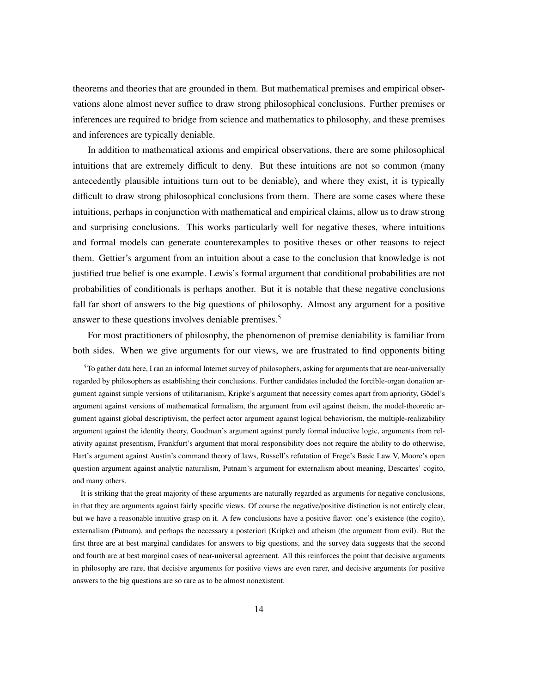theorems and theories that are grounded in them. But mathematical premises and empirical observations alone almost never suffice to draw strong philosophical conclusions. Further premises or inferences are required to bridge from science and mathematics to philosophy, and these premises and inferences are typically deniable.

In addition to mathematical axioms and empirical observations, there are some philosophical intuitions that are extremely difficult to deny. But these intuitions are not so common (many antecedently plausible intuitions turn out to be deniable), and where they exist, it is typically difficult to draw strong philosophical conclusions from them. There are some cases where these intuitions, perhaps in conjunction with mathematical and empirical claims, allow us to draw strong and surprising conclusions. This works particularly well for negative theses, where intuitions and formal models can generate counterexamples to positive theses or other reasons to reject them. Gettier's argument from an intuition about a case to the conclusion that knowledge is not justified true belief is one example. Lewis's formal argument that conditional probabilities are not probabilities of conditionals is perhaps another. But it is notable that these negative conclusions fall far short of answers to the big questions of philosophy. Almost any argument for a positive answer to these questions involves deniable premises.<sup>5</sup>

For most practitioners of philosophy, the phenomenon of premise deniability is familiar from both sides. When we give arguments for our views, we are frustrated to find opponents biting

It is striking that the great majority of these arguments are naturally regarded as arguments for negative conclusions, in that they are arguments against fairly specific views. Of course the negative/positive distinction is not entirely clear, but we have a reasonable intuitive grasp on it. A few conclusions have a positive flavor: one's existence (the cogito), externalism (Putnam), and perhaps the necessary a posteriori (Kripke) and atheism (the argument from evil). But the first three are at best marginal candidates for answers to big questions, and the survey data suggests that the second and fourth are at best marginal cases of near-universal agreement. All this reinforces the point that decisive arguments in philosophy are rare, that decisive arguments for positive views are even rarer, and decisive arguments for positive answers to the big questions are so rare as to be almost nonexistent.

 $5T\sigma$  gather data here, I ran an informal Internet survey of philosophers, asking for arguments that are near-universally regarded by philosophers as establishing their conclusions. Further candidates included the forcible-organ donation argument against simple versions of utilitarianism, Kripke's argument that necessity comes apart from apriority, Gödel's argument against versions of mathematical formalism, the argument from evil against theism, the model-theoretic argument against global descriptivism, the perfect actor argument against logical behaviorism, the multiple-realizability argument against the identity theory, Goodman's argument against purely formal inductive logic, arguments from relativity against presentism, Frankfurt's argument that moral responsibility does not require the ability to do otherwise, Hart's argument against Austin's command theory of laws, Russell's refutation of Frege's Basic Law V, Moore's open question argument against analytic naturalism, Putnam's argument for externalism about meaning, Descartes' cogito, and many others.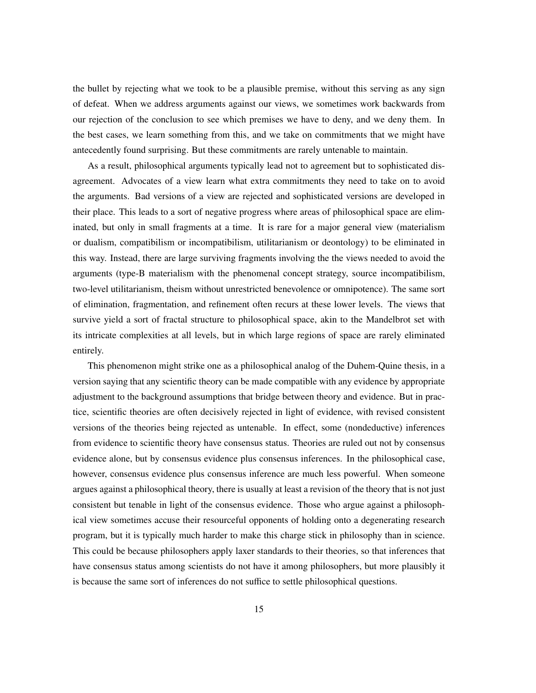the bullet by rejecting what we took to be a plausible premise, without this serving as any sign of defeat. When we address arguments against our views, we sometimes work backwards from our rejection of the conclusion to see which premises we have to deny, and we deny them. In the best cases, we learn something from this, and we take on commitments that we might have antecedently found surprising. But these commitments are rarely untenable to maintain.

As a result, philosophical arguments typically lead not to agreement but to sophisticated disagreement. Advocates of a view learn what extra commitments they need to take on to avoid the arguments. Bad versions of a view are rejected and sophisticated versions are developed in their place. This leads to a sort of negative progress where areas of philosophical space are eliminated, but only in small fragments at a time. It is rare for a major general view (materialism or dualism, compatibilism or incompatibilism, utilitarianism or deontology) to be eliminated in this way. Instead, there are large surviving fragments involving the the views needed to avoid the arguments (type-B materialism with the phenomenal concept strategy, source incompatibilism, two-level utilitarianism, theism without unrestricted benevolence or omnipotence). The same sort of elimination, fragmentation, and refinement often recurs at these lower levels. The views that survive yield a sort of fractal structure to philosophical space, akin to the Mandelbrot set with its intricate complexities at all levels, but in which large regions of space are rarely eliminated entirely.

This phenomenon might strike one as a philosophical analog of the Duhem-Quine thesis, in a version saying that any scientific theory can be made compatible with any evidence by appropriate adjustment to the background assumptions that bridge between theory and evidence. But in practice, scientific theories are often decisively rejected in light of evidence, with revised consistent versions of the theories being rejected as untenable. In effect, some (nondeductive) inferences from evidence to scientific theory have consensus status. Theories are ruled out not by consensus evidence alone, but by consensus evidence plus consensus inferences. In the philosophical case, however, consensus evidence plus consensus inference are much less powerful. When someone argues against a philosophical theory, there is usually at least a revision of the theory that is not just consistent but tenable in light of the consensus evidence. Those who argue against a philosophical view sometimes accuse their resourceful opponents of holding onto a degenerating research program, but it is typically much harder to make this charge stick in philosophy than in science. This could be because philosophers apply laxer standards to their theories, so that inferences that have consensus status among scientists do not have it among philosophers, but more plausibly it is because the same sort of inferences do not suffice to settle philosophical questions.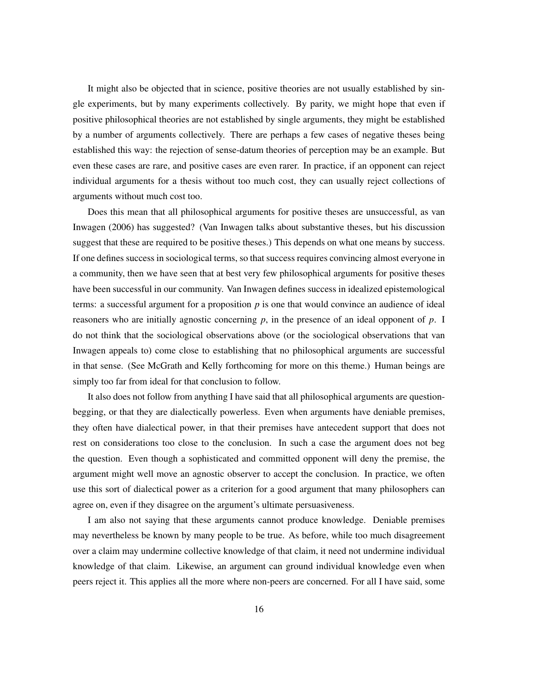It might also be objected that in science, positive theories are not usually established by single experiments, but by many experiments collectively. By parity, we might hope that even if positive philosophical theories are not established by single arguments, they might be established by a number of arguments collectively. There are perhaps a few cases of negative theses being established this way: the rejection of sense-datum theories of perception may be an example. But even these cases are rare, and positive cases are even rarer. In practice, if an opponent can reject individual arguments for a thesis without too much cost, they can usually reject collections of arguments without much cost too.

Does this mean that all philosophical arguments for positive theses are unsuccessful, as van Inwagen (2006) has suggested? (Van Inwagen talks about substantive theses, but his discussion suggest that these are required to be positive theses.) This depends on what one means by success. If one defines success in sociological terms, so that success requires convincing almost everyone in a community, then we have seen that at best very few philosophical arguments for positive theses have been successful in our community. Van Inwagen defines success in idealized epistemological terms: a successful argument for a proposition  $p$  is one that would convince an audience of ideal reasoners who are initially agnostic concerning *p*, in the presence of an ideal opponent of *p*. I do not think that the sociological observations above (or the sociological observations that van Inwagen appeals to) come close to establishing that no philosophical arguments are successful in that sense. (See McGrath and Kelly forthcoming for more on this theme.) Human beings are simply too far from ideal for that conclusion to follow.

It also does not follow from anything I have said that all philosophical arguments are questionbegging, or that they are dialectically powerless. Even when arguments have deniable premises, they often have dialectical power, in that their premises have antecedent support that does not rest on considerations too close to the conclusion. In such a case the argument does not beg the question. Even though a sophisticated and committed opponent will deny the premise, the argument might well move an agnostic observer to accept the conclusion. In practice, we often use this sort of dialectical power as a criterion for a good argument that many philosophers can agree on, even if they disagree on the argument's ultimate persuasiveness.

I am also not saying that these arguments cannot produce knowledge. Deniable premises may nevertheless be known by many people to be true. As before, while too much disagreement over a claim may undermine collective knowledge of that claim, it need not undermine individual knowledge of that claim. Likewise, an argument can ground individual knowledge even when peers reject it. This applies all the more where non-peers are concerned. For all I have said, some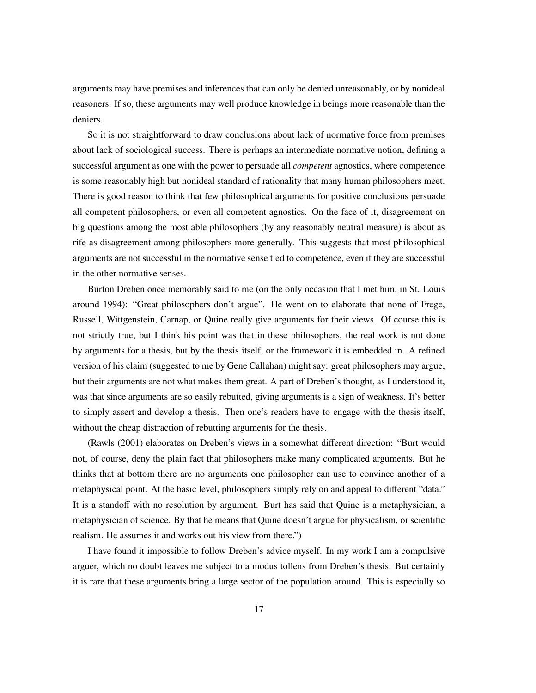arguments may have premises and inferences that can only be denied unreasonably, or by nonideal reasoners. If so, these arguments may well produce knowledge in beings more reasonable than the deniers.

So it is not straightforward to draw conclusions about lack of normative force from premises about lack of sociological success. There is perhaps an intermediate normative notion, defining a successful argument as one with the power to persuade all *competent* agnostics, where competence is some reasonably high but nonideal standard of rationality that many human philosophers meet. There is good reason to think that few philosophical arguments for positive conclusions persuade all competent philosophers, or even all competent agnostics. On the face of it, disagreement on big questions among the most able philosophers (by any reasonably neutral measure) is about as rife as disagreement among philosophers more generally. This suggests that most philosophical arguments are not successful in the normative sense tied to competence, even if they are successful in the other normative senses.

Burton Dreben once memorably said to me (on the only occasion that I met him, in St. Louis around 1994): "Great philosophers don't argue". He went on to elaborate that none of Frege, Russell, Wittgenstein, Carnap, or Quine really give arguments for their views. Of course this is not strictly true, but I think his point was that in these philosophers, the real work is not done by arguments for a thesis, but by the thesis itself, or the framework it is embedded in. A refined version of his claim (suggested to me by Gene Callahan) might say: great philosophers may argue, but their arguments are not what makes them great. A part of Dreben's thought, as I understood it, was that since arguments are so easily rebutted, giving arguments is a sign of weakness. It's better to simply assert and develop a thesis. Then one's readers have to engage with the thesis itself, without the cheap distraction of rebutting arguments for the thesis.

(Rawls (2001) elaborates on Dreben's views in a somewhat different direction: "Burt would not, of course, deny the plain fact that philosophers make many complicated arguments. But he thinks that at bottom there are no arguments one philosopher can use to convince another of a metaphysical point. At the basic level, philosophers simply rely on and appeal to different "data." It is a standoff with no resolution by argument. Burt has said that Quine is a metaphysician, a metaphysician of science. By that he means that Quine doesn't argue for physicalism, or scientific realism. He assumes it and works out his view from there.")

I have found it impossible to follow Dreben's advice myself. In my work I am a compulsive arguer, which no doubt leaves me subject to a modus tollens from Dreben's thesis. But certainly it is rare that these arguments bring a large sector of the population around. This is especially so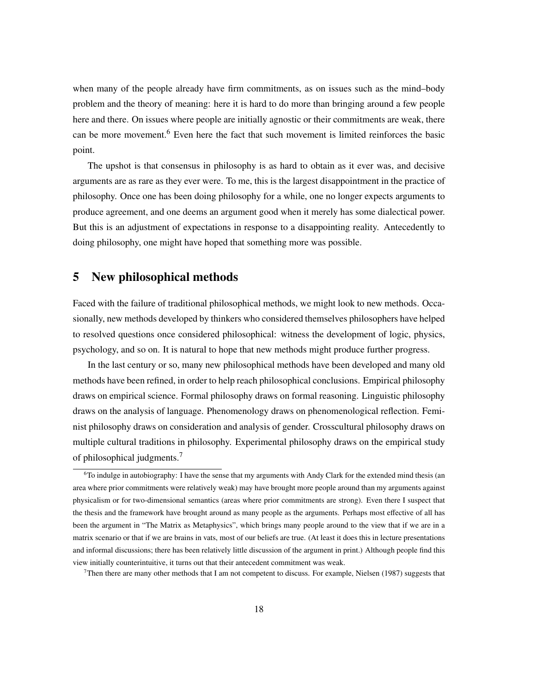when many of the people already have firm commitments, as on issues such as the mind–body problem and the theory of meaning: here it is hard to do more than bringing around a few people here and there. On issues where people are initially agnostic or their commitments are weak, there can be more movement.<sup>6</sup> Even here the fact that such movement is limited reinforces the basic point.

The upshot is that consensus in philosophy is as hard to obtain as it ever was, and decisive arguments are as rare as they ever were. To me, this is the largest disappointment in the practice of philosophy. Once one has been doing philosophy for a while, one no longer expects arguments to produce agreement, and one deems an argument good when it merely has some dialectical power. But this is an adjustment of expectations in response to a disappointing reality. Antecedently to doing philosophy, one might have hoped that something more was possible.

### 5 New philosophical methods

Faced with the failure of traditional philosophical methods, we might look to new methods. Occasionally, new methods developed by thinkers who considered themselves philosophers have helped to resolved questions once considered philosophical: witness the development of logic, physics, psychology, and so on. It is natural to hope that new methods might produce further progress.

In the last century or so, many new philosophical methods have been developed and many old methods have been refined, in order to help reach philosophical conclusions. Empirical philosophy draws on empirical science. Formal philosophy draws on formal reasoning. Linguistic philosophy draws on the analysis of language. Phenomenology draws on phenomenological reflection. Feminist philosophy draws on consideration and analysis of gender. Crosscultural philosophy draws on multiple cultural traditions in philosophy. Experimental philosophy draws on the empirical study of philosophical judgments.<sup>7</sup>

 $6T$ o indulge in autobiography: I have the sense that my arguments with Andy Clark for the extended mind thesis (an area where prior commitments were relatively weak) may have brought more people around than my arguments against physicalism or for two-dimensional semantics (areas where prior commitments are strong). Even there I suspect that the thesis and the framework have brought around as many people as the arguments. Perhaps most effective of all has been the argument in "The Matrix as Metaphysics", which brings many people around to the view that if we are in a matrix scenario or that if we are brains in vats, most of our beliefs are true. (At least it does this in lecture presentations and informal discussions; there has been relatively little discussion of the argument in print.) Although people find this view initially counterintuitive, it turns out that their antecedent commitment was weak.

 $<sup>7</sup>$ Then there are many other methods that I am not competent to discuss. For example, Nielsen (1987) suggests that</sup>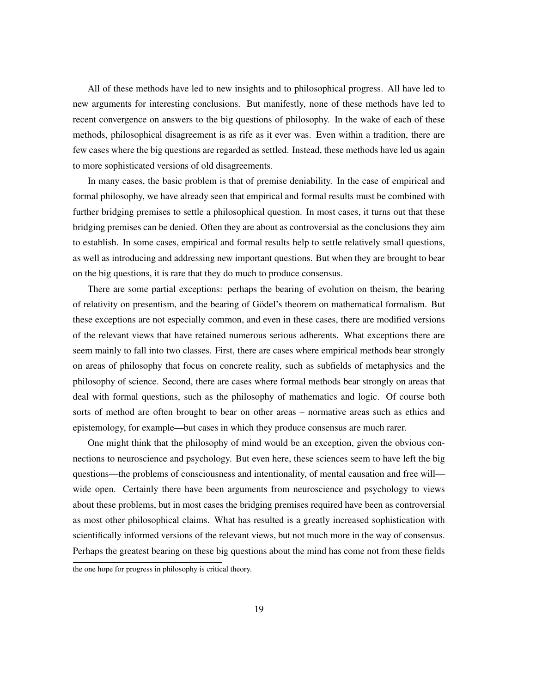All of these methods have led to new insights and to philosophical progress. All have led to new arguments for interesting conclusions. But manifestly, none of these methods have led to recent convergence on answers to the big questions of philosophy. In the wake of each of these methods, philosophical disagreement is as rife as it ever was. Even within a tradition, there are few cases where the big questions are regarded as settled. Instead, these methods have led us again to more sophisticated versions of old disagreements.

In many cases, the basic problem is that of premise deniability. In the case of empirical and formal philosophy, we have already seen that empirical and formal results must be combined with further bridging premises to settle a philosophical question. In most cases, it turns out that these bridging premises can be denied. Often they are about as controversial as the conclusions they aim to establish. In some cases, empirical and formal results help to settle relatively small questions, as well as introducing and addressing new important questions. But when they are brought to bear on the big questions, it is rare that they do much to produce consensus.

There are some partial exceptions: perhaps the bearing of evolution on theism, the bearing of relativity on presentism, and the bearing of Godel's theorem on mathematical formalism. But ¨ these exceptions are not especially common, and even in these cases, there are modified versions of the relevant views that have retained numerous serious adherents. What exceptions there are seem mainly to fall into two classes. First, there are cases where empirical methods bear strongly on areas of philosophy that focus on concrete reality, such as subfields of metaphysics and the philosophy of science. Second, there are cases where formal methods bear strongly on areas that deal with formal questions, such as the philosophy of mathematics and logic. Of course both sorts of method are often brought to bear on other areas – normative areas such as ethics and epistemology, for example—but cases in which they produce consensus are much rarer.

One might think that the philosophy of mind would be an exception, given the obvious connections to neuroscience and psychology. But even here, these sciences seem to have left the big questions—the problems of consciousness and intentionality, of mental causation and free will wide open. Certainly there have been arguments from neuroscience and psychology to views about these problems, but in most cases the bridging premises required have been as controversial as most other philosophical claims. What has resulted is a greatly increased sophistication with scientifically informed versions of the relevant views, but not much more in the way of consensus. Perhaps the greatest bearing on these big questions about the mind has come not from these fields

the one hope for progress in philosophy is critical theory.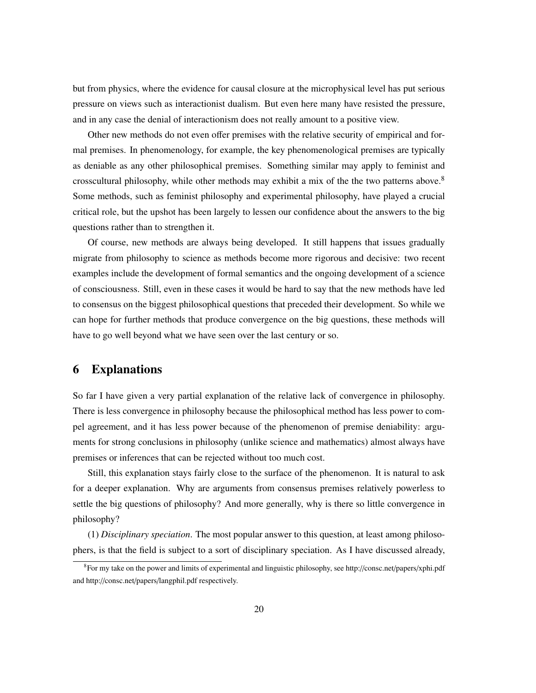but from physics, where the evidence for causal closure at the microphysical level has put serious pressure on views such as interactionist dualism. But even here many have resisted the pressure, and in any case the denial of interactionism does not really amount to a positive view.

Other new methods do not even offer premises with the relative security of empirical and formal premises. In phenomenology, for example, the key phenomenological premises are typically as deniable as any other philosophical premises. Something similar may apply to feminist and crosscultural philosophy, while other methods may exhibit a mix of the the two patterns above.<sup>8</sup> Some methods, such as feminist philosophy and experimental philosophy, have played a crucial critical role, but the upshot has been largely to lessen our confidence about the answers to the big questions rather than to strengthen it.

Of course, new methods are always being developed. It still happens that issues gradually migrate from philosophy to science as methods become more rigorous and decisive: two recent examples include the development of formal semantics and the ongoing development of a science of consciousness. Still, even in these cases it would be hard to say that the new methods have led to consensus on the biggest philosophical questions that preceded their development. So while we can hope for further methods that produce convergence on the big questions, these methods will have to go well beyond what we have seen over the last century or so.

## 6 Explanations

So far I have given a very partial explanation of the relative lack of convergence in philosophy. There is less convergence in philosophy because the philosophical method has less power to compel agreement, and it has less power because of the phenomenon of premise deniability: arguments for strong conclusions in philosophy (unlike science and mathematics) almost always have premises or inferences that can be rejected without too much cost.

Still, this explanation stays fairly close to the surface of the phenomenon. It is natural to ask for a deeper explanation. Why are arguments from consensus premises relatively powerless to settle the big questions of philosophy? And more generally, why is there so little convergence in philosophy?

(1) *Disciplinary speciation*. The most popular answer to this question, at least among philosophers, is that the field is subject to a sort of disciplinary speciation. As I have discussed already,

<sup>8</sup>For my take on the power and limits of experimental and linguistic philosophy, see http://consc.net/papers/xphi.pdf and http://consc.net/papers/langphil.pdf respectively.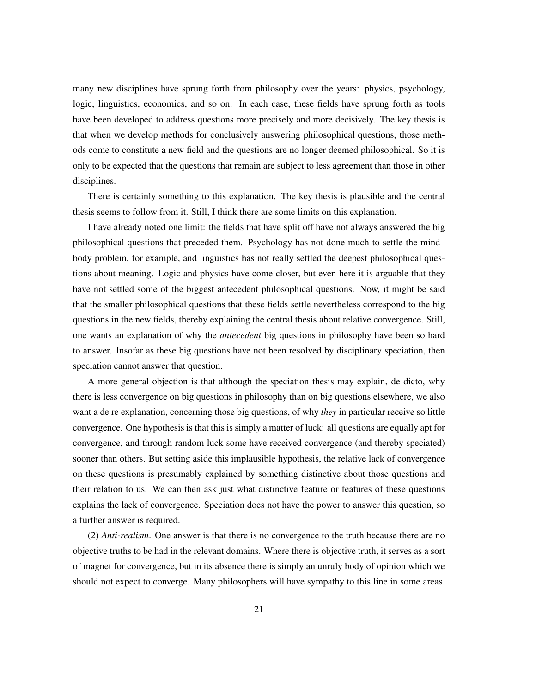many new disciplines have sprung forth from philosophy over the years: physics, psychology, logic, linguistics, economics, and so on. In each case, these fields have sprung forth as tools have been developed to address questions more precisely and more decisively. The key thesis is that when we develop methods for conclusively answering philosophical questions, those methods come to constitute a new field and the questions are no longer deemed philosophical. So it is only to be expected that the questions that remain are subject to less agreement than those in other disciplines.

There is certainly something to this explanation. The key thesis is plausible and the central thesis seems to follow from it. Still, I think there are some limits on this explanation.

I have already noted one limit: the fields that have split off have not always answered the big philosophical questions that preceded them. Psychology has not done much to settle the mind– body problem, for example, and linguistics has not really settled the deepest philosophical questions about meaning. Logic and physics have come closer, but even here it is arguable that they have not settled some of the biggest antecedent philosophical questions. Now, it might be said that the smaller philosophical questions that these fields settle nevertheless correspond to the big questions in the new fields, thereby explaining the central thesis about relative convergence. Still, one wants an explanation of why the *antecedent* big questions in philosophy have been so hard to answer. Insofar as these big questions have not been resolved by disciplinary speciation, then speciation cannot answer that question.

A more general objection is that although the speciation thesis may explain, de dicto, why there is less convergence on big questions in philosophy than on big questions elsewhere, we also want a de re explanation, concerning those big questions, of why *they* in particular receive so little convergence. One hypothesis is that this is simply a matter of luck: all questions are equally apt for convergence, and through random luck some have received convergence (and thereby speciated) sooner than others. But setting aside this implausible hypothesis, the relative lack of convergence on these questions is presumably explained by something distinctive about those questions and their relation to us. We can then ask just what distinctive feature or features of these questions explains the lack of convergence. Speciation does not have the power to answer this question, so a further answer is required.

(2) *Anti-realism*. One answer is that there is no convergence to the truth because there are no objective truths to be had in the relevant domains. Where there is objective truth, it serves as a sort of magnet for convergence, but in its absence there is simply an unruly body of opinion which we should not expect to converge. Many philosophers will have sympathy to this line in some areas.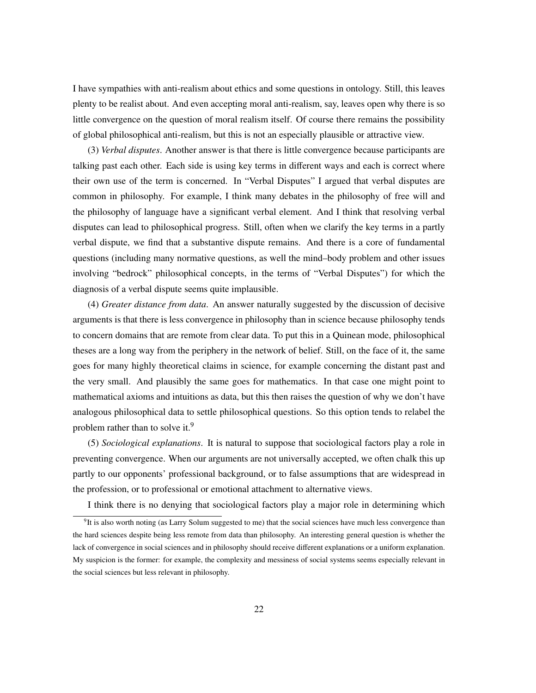I have sympathies with anti-realism about ethics and some questions in ontology. Still, this leaves plenty to be realist about. And even accepting moral anti-realism, say, leaves open why there is so little convergence on the question of moral realism itself. Of course there remains the possibility of global philosophical anti-realism, but this is not an especially plausible or attractive view.

(3) *Verbal disputes*. Another answer is that there is little convergence because participants are talking past each other. Each side is using key terms in different ways and each is correct where their own use of the term is concerned. In "Verbal Disputes" I argued that verbal disputes are common in philosophy. For example, I think many debates in the philosophy of free will and the philosophy of language have a significant verbal element. And I think that resolving verbal disputes can lead to philosophical progress. Still, often when we clarify the key terms in a partly verbal dispute, we find that a substantive dispute remains. And there is a core of fundamental questions (including many normative questions, as well the mind–body problem and other issues involving "bedrock" philosophical concepts, in the terms of "Verbal Disputes") for which the diagnosis of a verbal dispute seems quite implausible.

(4) *Greater distance from data*. An answer naturally suggested by the discussion of decisive arguments is that there is less convergence in philosophy than in science because philosophy tends to concern domains that are remote from clear data. To put this in a Quinean mode, philosophical theses are a long way from the periphery in the network of belief. Still, on the face of it, the same goes for many highly theoretical claims in science, for example concerning the distant past and the very small. And plausibly the same goes for mathematics. In that case one might point to mathematical axioms and intuitions as data, but this then raises the question of why we don't have analogous philosophical data to settle philosophical questions. So this option tends to relabel the problem rather than to solve it.<sup>9</sup>

(5) *Sociological explanations*. It is natural to suppose that sociological factors play a role in preventing convergence. When our arguments are not universally accepted, we often chalk this up partly to our opponents' professional background, or to false assumptions that are widespread in the profession, or to professional or emotional attachment to alternative views.

I think there is no denying that sociological factors play a major role in determining which

<sup>&</sup>lt;sup>9</sup>It is also worth noting (as Larry Solum suggested to me) that the social sciences have much less convergence than the hard sciences despite being less remote from data than philosophy. An interesting general question is whether the lack of convergence in social sciences and in philosophy should receive different explanations or a uniform explanation. My suspicion is the former: for example, the complexity and messiness of social systems seems especially relevant in the social sciences but less relevant in philosophy.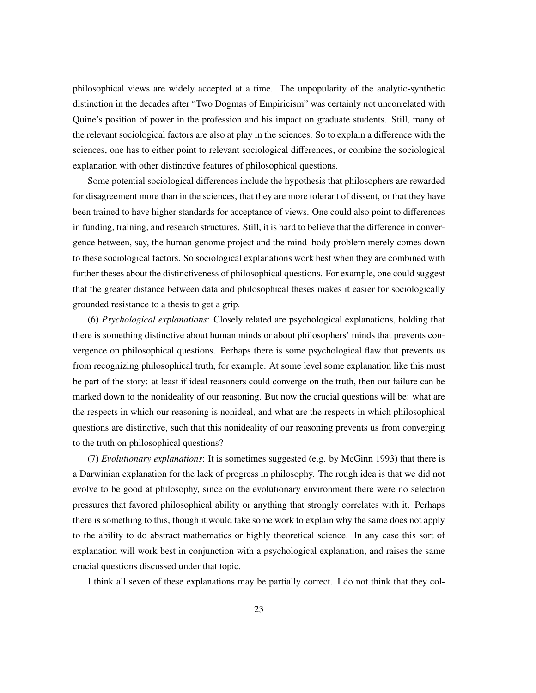philosophical views are widely accepted at a time. The unpopularity of the analytic-synthetic distinction in the decades after "Two Dogmas of Empiricism" was certainly not uncorrelated with Quine's position of power in the profession and his impact on graduate students. Still, many of the relevant sociological factors are also at play in the sciences. So to explain a difference with the sciences, one has to either point to relevant sociological differences, or combine the sociological explanation with other distinctive features of philosophical questions.

Some potential sociological differences include the hypothesis that philosophers are rewarded for disagreement more than in the sciences, that they are more tolerant of dissent, or that they have been trained to have higher standards for acceptance of views. One could also point to differences in funding, training, and research structures. Still, it is hard to believe that the difference in convergence between, say, the human genome project and the mind–body problem merely comes down to these sociological factors. So sociological explanations work best when they are combined with further theses about the distinctiveness of philosophical questions. For example, one could suggest that the greater distance between data and philosophical theses makes it easier for sociologically grounded resistance to a thesis to get a grip.

(6) *Psychological explanations*: Closely related are psychological explanations, holding that there is something distinctive about human minds or about philosophers' minds that prevents convergence on philosophical questions. Perhaps there is some psychological flaw that prevents us from recognizing philosophical truth, for example. At some level some explanation like this must be part of the story: at least if ideal reasoners could converge on the truth, then our failure can be marked down to the nonideality of our reasoning. But now the crucial questions will be: what are the respects in which our reasoning is nonideal, and what are the respects in which philosophical questions are distinctive, such that this nonideality of our reasoning prevents us from converging to the truth on philosophical questions?

(7) *Evolutionary explanations*: It is sometimes suggested (e.g. by McGinn 1993) that there is a Darwinian explanation for the lack of progress in philosophy. The rough idea is that we did not evolve to be good at philosophy, since on the evolutionary environment there were no selection pressures that favored philosophical ability or anything that strongly correlates with it. Perhaps there is something to this, though it would take some work to explain why the same does not apply to the ability to do abstract mathematics or highly theoretical science. In any case this sort of explanation will work best in conjunction with a psychological explanation, and raises the same crucial questions discussed under that topic.

I think all seven of these explanations may be partially correct. I do not think that they col-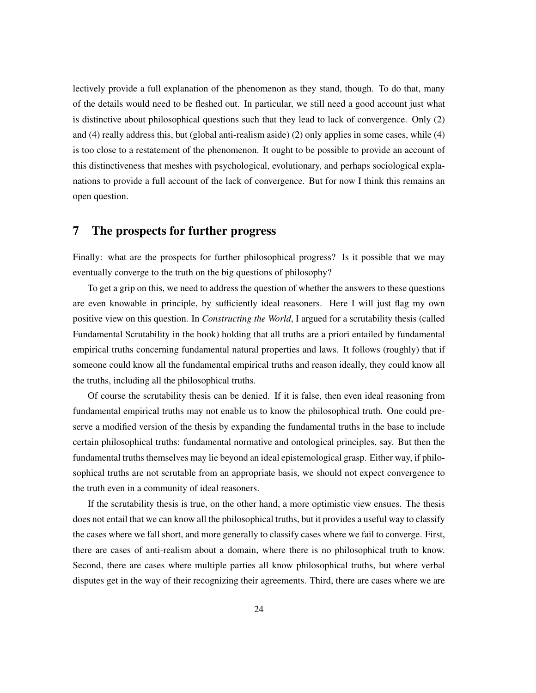lectively provide a full explanation of the phenomenon as they stand, though. To do that, many of the details would need to be fleshed out. In particular, we still need a good account just what is distinctive about philosophical questions such that they lead to lack of convergence. Only (2) and (4) really address this, but (global anti-realism aside) (2) only applies in some cases, while (4) is too close to a restatement of the phenomenon. It ought to be possible to provide an account of this distinctiveness that meshes with psychological, evolutionary, and perhaps sociological explanations to provide a full account of the lack of convergence. But for now I think this remains an open question.

## 7 The prospects for further progress

Finally: what are the prospects for further philosophical progress? Is it possible that we may eventually converge to the truth on the big questions of philosophy?

To get a grip on this, we need to address the question of whether the answers to these questions are even knowable in principle, by sufficiently ideal reasoners. Here I will just flag my own positive view on this question. In *Constructing the World*, I argued for a scrutability thesis (called Fundamental Scrutability in the book) holding that all truths are a priori entailed by fundamental empirical truths concerning fundamental natural properties and laws. It follows (roughly) that if someone could know all the fundamental empirical truths and reason ideally, they could know all the truths, including all the philosophical truths.

Of course the scrutability thesis can be denied. If it is false, then even ideal reasoning from fundamental empirical truths may not enable us to know the philosophical truth. One could preserve a modified version of the thesis by expanding the fundamental truths in the base to include certain philosophical truths: fundamental normative and ontological principles, say. But then the fundamental truths themselves may lie beyond an ideal epistemological grasp. Either way, if philosophical truths are not scrutable from an appropriate basis, we should not expect convergence to the truth even in a community of ideal reasoners.

If the scrutability thesis is true, on the other hand, a more optimistic view ensues. The thesis does not entail that we can know all the philosophical truths, but it provides a useful way to classify the cases where we fall short, and more generally to classify cases where we fail to converge. First, there are cases of anti-realism about a domain, where there is no philosophical truth to know. Second, there are cases where multiple parties all know philosophical truths, but where verbal disputes get in the way of their recognizing their agreements. Third, there are cases where we are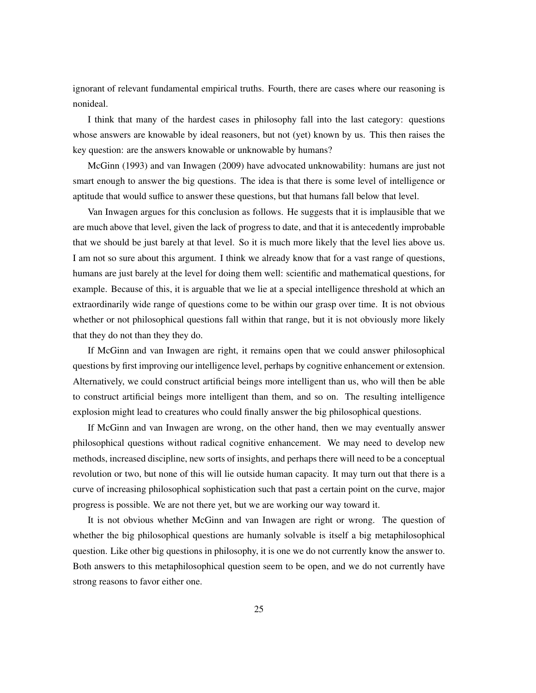ignorant of relevant fundamental empirical truths. Fourth, there are cases where our reasoning is nonideal.

I think that many of the hardest cases in philosophy fall into the last category: questions whose answers are knowable by ideal reasoners, but not (yet) known by us. This then raises the key question: are the answers knowable or unknowable by humans?

McGinn (1993) and van Inwagen (2009) have advocated unknowability: humans are just not smart enough to answer the big questions. The idea is that there is some level of intelligence or aptitude that would suffice to answer these questions, but that humans fall below that level.

Van Inwagen argues for this conclusion as follows. He suggests that it is implausible that we are much above that level, given the lack of progress to date, and that it is antecedently improbable that we should be just barely at that level. So it is much more likely that the level lies above us. I am not so sure about this argument. I think we already know that for a vast range of questions, humans are just barely at the level for doing them well: scientific and mathematical questions, for example. Because of this, it is arguable that we lie at a special intelligence threshold at which an extraordinarily wide range of questions come to be within our grasp over time. It is not obvious whether or not philosophical questions fall within that range, but it is not obviously more likely that they do not than they they do.

If McGinn and van Inwagen are right, it remains open that we could answer philosophical questions by first improving our intelligence level, perhaps by cognitive enhancement or extension. Alternatively, we could construct artificial beings more intelligent than us, who will then be able to construct artificial beings more intelligent than them, and so on. The resulting intelligence explosion might lead to creatures who could finally answer the big philosophical questions.

If McGinn and van Inwagen are wrong, on the other hand, then we may eventually answer philosophical questions without radical cognitive enhancement. We may need to develop new methods, increased discipline, new sorts of insights, and perhaps there will need to be a conceptual revolution or two, but none of this will lie outside human capacity. It may turn out that there is a curve of increasing philosophical sophistication such that past a certain point on the curve, major progress is possible. We are not there yet, but we are working our way toward it.

It is not obvious whether McGinn and van Inwagen are right or wrong. The question of whether the big philosophical questions are humanly solvable is itself a big metaphilosophical question. Like other big questions in philosophy, it is one we do not currently know the answer to. Both answers to this metaphilosophical question seem to be open, and we do not currently have strong reasons to favor either one.